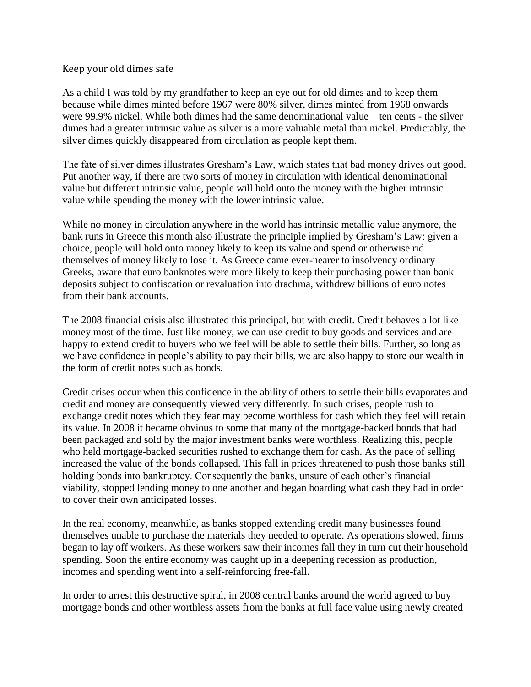## Keep your old dimes safe

As a child I was told by my grandfather to keep an eye out for old dimes and to keep them because while dimes minted before 1967 were 80% silver, dimes minted from 1968 onwards were 99.9% nickel. While both dimes had the same denominational value – ten cents - the silver dimes had a greater intrinsic value as silver is a more valuable metal than nickel. Predictably, the silver dimes quickly disappeared from circulation as people kept them.

The fate of silver dimes illustrates Gresham's Law, which states that bad money drives out good. Put another way, if there are two sorts of money in circulation with identical denominational value but different intrinsic value, people will hold onto the money with the higher intrinsic value while spending the money with the lower intrinsic value.

While no money in circulation anywhere in the world has intrinsic metallic value anymore, the bank runs in Greece this month also illustrate the principle implied by Gresham's Law: given a choice, people will hold onto money likely to keep its value and spend or otherwise rid themselves of money likely to lose it. As Greece came ever-nearer to insolvency ordinary Greeks, aware that euro banknotes were more likely to keep their purchasing power than bank deposits subject to confiscation or revaluation into drachma, withdrew billions of euro notes from their bank accounts.

The 2008 financial crisis also illustrated this principal, but with credit. Credit behaves a lot like money most of the time. Just like money, we can use credit to buy goods and services and are happy to extend credit to buyers who we feel will be able to settle their bills. Further, so long as we have confidence in people's ability to pay their bills, we are also happy to store our wealth in the form of credit notes such as bonds.

Credit crises occur when this confidence in the ability of others to settle their bills evaporates and credit and money are consequently viewed very differently. In such crises, people rush to exchange credit notes which they fear may become worthless for cash which they feel will retain its value. In 2008 it became obvious to some that many of the mortgage-backed bonds that had been packaged and sold by the major investment banks were worthless. Realizing this, people who held mortgage-backed securities rushed to exchange them for cash. As the pace of selling increased the value of the bonds collapsed. This fall in prices threatened to push those banks still holding bonds into bankruptcy. Consequently the banks, unsure of each other's financial viability, stopped lending money to one another and began hoarding what cash they had in order to cover their own anticipated losses.

In the real economy, meanwhile, as banks stopped extending credit many businesses found themselves unable to purchase the materials they needed to operate. As operations slowed, firms began to lay off workers. As these workers saw their incomes fall they in turn cut their household spending. Soon the entire economy was caught up in a deepening recession as production, incomes and spending went into a self-reinforcing free-fall.

In order to arrest this destructive spiral, in 2008 central banks around the world agreed to buy mortgage bonds and other worthless assets from the banks at full face value using newly created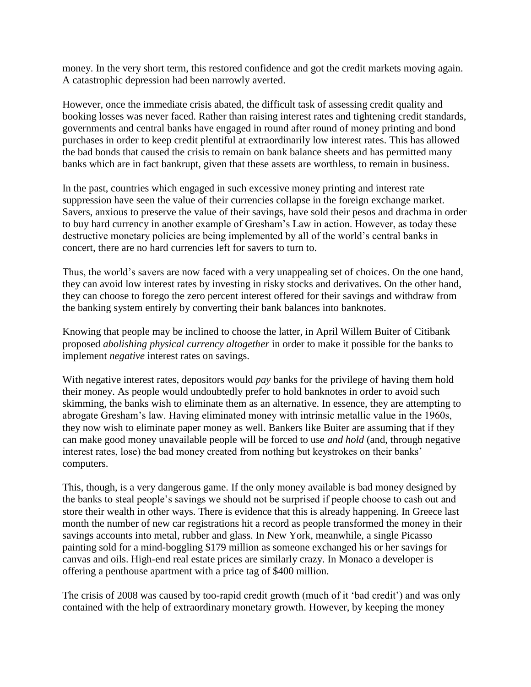money. In the very short term, this restored confidence and got the credit markets moving again. A catastrophic depression had been narrowly averted.

However, once the immediate crisis abated, the difficult task of assessing credit quality and booking losses was never faced. Rather than raising interest rates and tightening credit standards, governments and central banks have engaged in round after round of money printing and bond purchases in order to keep credit plentiful at extraordinarily low interest rates. This has allowed the bad bonds that caused the crisis to remain on bank balance sheets and has permitted many banks which are in fact bankrupt, given that these assets are worthless, to remain in business.

In the past, countries which engaged in such excessive money printing and interest rate suppression have seen the value of their currencies collapse in the foreign exchange market. Savers, anxious to preserve the value of their savings, have sold their pesos and drachma in order to buy hard currency in another example of Gresham's Law in action. However, as today these destructive monetary policies are being implemented by all of the world's central banks in concert, there are no hard currencies left for savers to turn to.

Thus, the world's savers are now faced with a very unappealing set of choices. On the one hand, they can avoid low interest rates by investing in risky stocks and derivatives. On the other hand, they can choose to forego the zero percent interest offered for their savings and withdraw from the banking system entirely by converting their bank balances into banknotes.

Knowing that people may be inclined to choose the latter, in April Willem Buiter of Citibank proposed *abolishing physical currency altogether* in order to make it possible for the banks to implement *negative* interest rates on savings.

With negative interest rates, depositors would *pay* banks for the privilege of having them hold their money. As people would undoubtedly prefer to hold banknotes in order to avoid such skimming, the banks wish to eliminate them as an alternative. In essence, they are attempting to abrogate Gresham's law. Having eliminated money with intrinsic metallic value in the 1960s, they now wish to eliminate paper money as well. Bankers like Buiter are assuming that if they can make good money unavailable people will be forced to use *and hold* (and, through negative interest rates, lose) the bad money created from nothing but keystrokes on their banks' computers.

This, though, is a very dangerous game. If the only money available is bad money designed by the banks to steal people's savings we should not be surprised if people choose to cash out and store their wealth in other ways. There is evidence that this is already happening. In Greece last month the number of new car registrations hit a record as people transformed the money in their savings accounts into metal, rubber and glass. In New York, meanwhile, a single Picasso painting sold for a mind-boggling \$179 million as someone exchanged his or her savings for canvas and oils. High-end real estate prices are similarly crazy. In Monaco a developer is offering a penthouse apartment with a price tag of \$400 million.

The crisis of 2008 was caused by too-rapid credit growth (much of it 'bad credit') and was only contained with the help of extraordinary monetary growth. However, by keeping the money